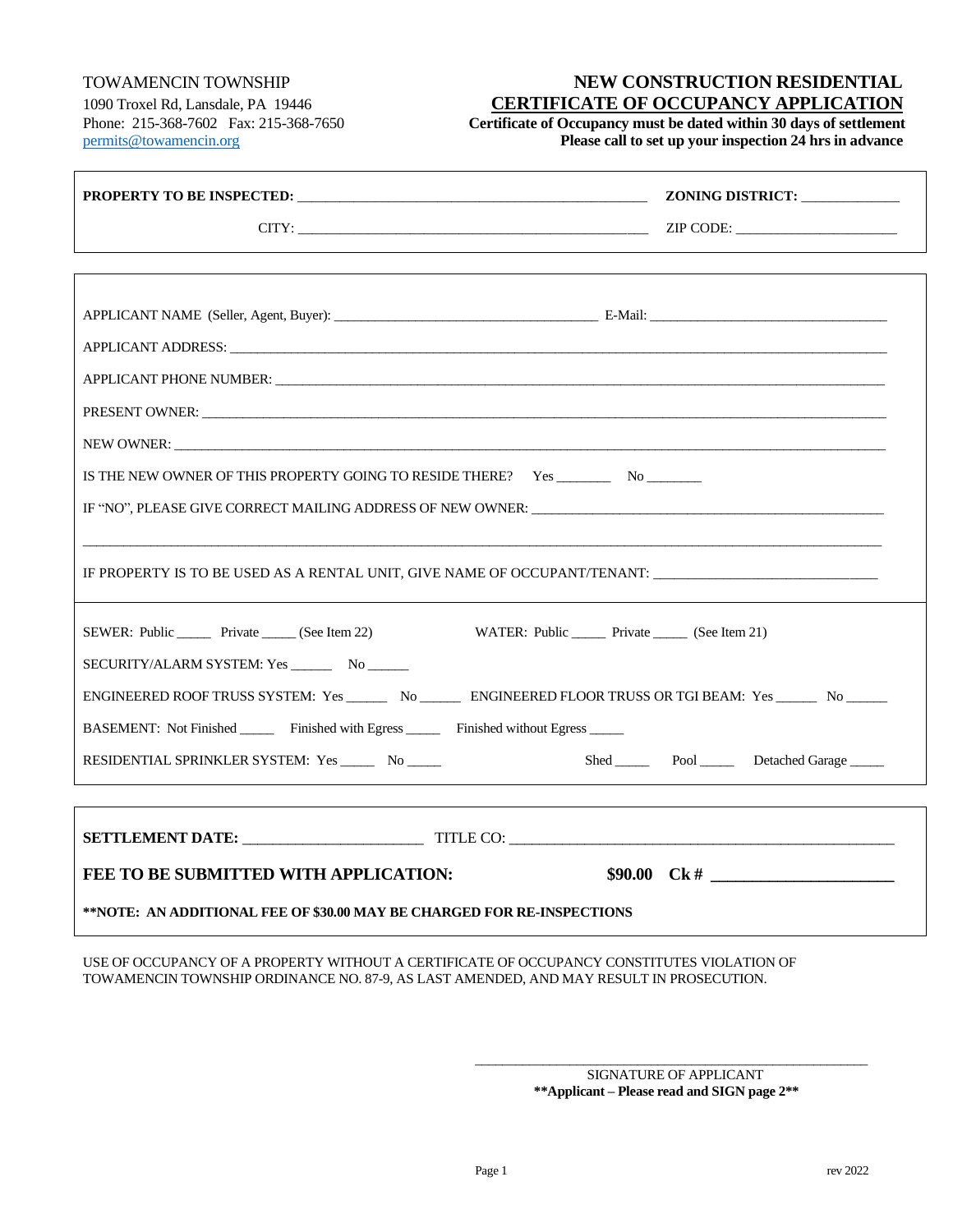## TOWAMENCIN TOWNSHIP **NEW CONSTRUCTION RESIDENTIAL** 1090 Troxel Rd, Lansdale, PA 19446 **CERTIFICATE OF OCCUPANCY APPLICATION**

Phone: 215-368-7602 Fax: 215-368-7650 **Certificate of Occupancy must be dated within 30 days of settlement** [permits@towamencin.org](mailto:permits@towamencin.org) **Please call to set up your inspection 24 hrs in advance**

|                                                                                                                  | ZONING DISTRICT:          |
|------------------------------------------------------------------------------------------------------------------|---------------------------|
| $CITY:$ $\qquad \qquad \qquad \qquad \qquad \text{ZIP CODE:}$                                                    |                           |
|                                                                                                                  |                           |
|                                                                                                                  |                           |
|                                                                                                                  |                           |
|                                                                                                                  |                           |
|                                                                                                                  |                           |
|                                                                                                                  |                           |
|                                                                                                                  |                           |
| IS THE NEW OWNER OF THIS PROPERTY GOING TO RESIDE THERE?   Yes ___________ No_________                           |                           |
| IF "NO", PLEASE GIVE CORRECT MAILING ADDRESS OF NEW OWNER: ______________________                                |                           |
|                                                                                                                  |                           |
| IF PROPERTY IS TO BE USED AS A RENTAL UNIT, GIVE NAME OF OCCUPANT/TENANT:                                        |                           |
|                                                                                                                  |                           |
| SEWER: Public Private (See Item 22)<br>WATER: Public _______ Private ______ (See Item 21)                        |                           |
|                                                                                                                  |                           |
| ENGINEERED ROOF TRUSS SYSTEM: Yes ________ No ________ ENGINEERED FLOOR TRUSS OR TGI BEAM: Yes _______ No ______ |                           |
| BASEMENT: Not Finished _______ Finished with Egress _______ Finished without Egress ______                       |                           |
| RESIDENTIAL SPRINKLER SYSTEM: Yes No                                                                             | Shed Pool Detached Garage |
|                                                                                                                  |                           |
| SETTLEMENT DATE: TITLE CO:                                                                                       |                           |
| FEE TO BE SUBMITTED WITH APPLICATION:                                                                            |                           |
| **NOTE:  AN ADDITIONAL FEE OF \$30.00 MAY BE CHARGED FOR RE-INSPECTIONS                                          |                           |

USE OF OCCUPANCY OF A PROPERTY WITHOUT A CERTIFICATE OF OCCUPANCY CONSTITUTES VIOLATION OF TOWAMENCIN TOWNSHIP ORDINANCE NO. 87-9, AS LAST AMENDED, AND MAY RESULT IN PROSECUTION.

> \_\_\_\_\_\_\_\_\_\_\_\_\_\_\_\_\_\_\_\_\_\_\_\_\_\_\_\_\_\_\_\_\_\_\_\_\_\_\_\_\_\_\_\_\_\_\_\_\_\_\_\_\_\_\_\_\_\_ SIGNATURE OF APPLICANT **\*\*Applicant – Please read and SIGN page 2\*\***